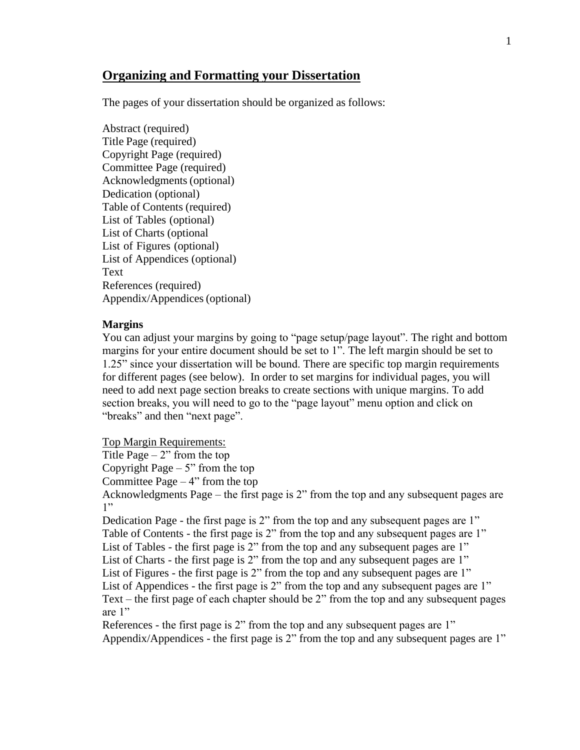# **Organizing and Formatting your Dissertation**

The pages of your dissertation should be organized as follows:

Abstract (required) Title Page (required) Copyright Page (required) Committee Page (required) Acknowledgments(optional) Dedication (optional) Table of Contents (required) List of Tables (optional) List of Charts (optional List of Figures (optional) List of Appendices (optional) Text References (required) Appendix/Appendices(optional)

#### **Margins**

You can adjust your margins by going to "page setup/page layout". The right and bottom margins for your entire document should be set to 1". The left margin should be set to 1.25" since your dissertation will be bound. There are specific top margin requirements for different pages (see below). In order to set margins for individual pages, you will need to add next page section breaks to create sections with unique margins. To add section breaks, you will need to go to the "page layout" menu option and click on "breaks" and then "next page".

Top Margin Requirements:

Title Page  $-2$ " from the top

Copyright Page  $-5$ " from the top

Committee Page  $-4$ " from the top

Acknowledgments Page – the first page is 2" from the top and any subsequent pages are 1"

Dedication Page - the first page is 2" from the top and any subsequent pages are 1" Table of Contents - the first page is 2" from the top and any subsequent pages are 1" List of Tables - the first page is 2" from the top and any subsequent pages are 1" List of Charts - the first page is 2" from the top and any subsequent pages are 1" List of Figures - the first page is 2" from the top and any subsequent pages are 1" List of Appendices - the first page is 2" from the top and any subsequent pages are 1" Text – the first page of each chapter should be 2" from the top and any subsequent pages are 1"

References - the first page is 2" from the top and any subsequent pages are 1" Appendix/Appendices - the first page is 2" from the top and any subsequent pages are 1"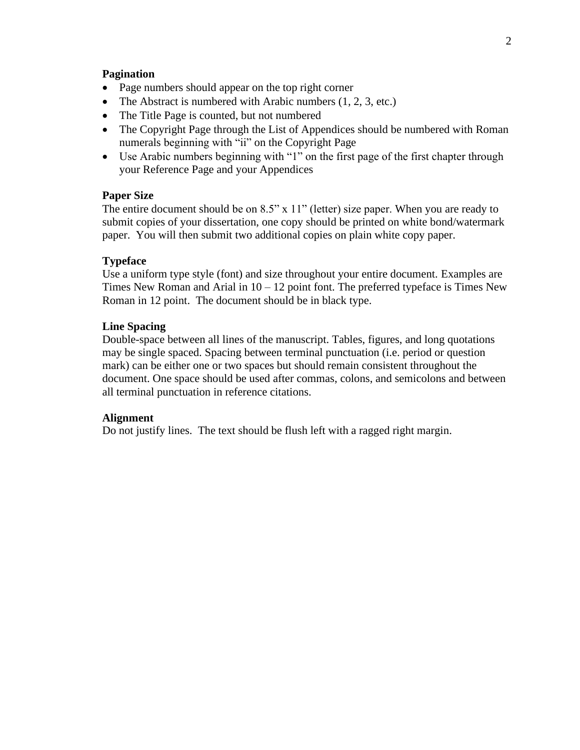#### **Pagination**

- Page numbers should appear on the top right corner
- The Abstract is numbered with Arabic numbers  $(1, 2, 3, \text{ etc.})$
- The Title Page is counted, but not numbered
- The Copyright Page through the List of Appendices should be numbered with Roman numerals beginning with "ii" on the Copyright Page
- Use Arabic numbers beginning with "1" on the first page of the first chapter through your Reference Page and your Appendices

#### **Paper Size**

The entire document should be on 8.5" x 11" (letter) size paper. When you are ready to submit copies of your dissertation, one copy should be printed on white bond/watermark paper. You will then submit two additional copies on plain white copy paper.

#### **Typeface**

Use a uniform type style (font) and size throughout your entire document. Examples are Times New Roman and Arial in  $10 - 12$  point font. The preferred typeface is Times New Roman in 12 point. The document should be in black type.

#### **Line Spacing**

Double-space between all lines of the manuscript. Tables, figures, and long quotations may be single spaced. Spacing between terminal punctuation (i.e. period or question mark) can be either one or two spaces but should remain consistent throughout the document. One space should be used after commas, colons, and semicolons and between all terminal punctuation in reference citations.

#### **Alignment**

Do not justify lines. The text should be flush left with a ragged right margin.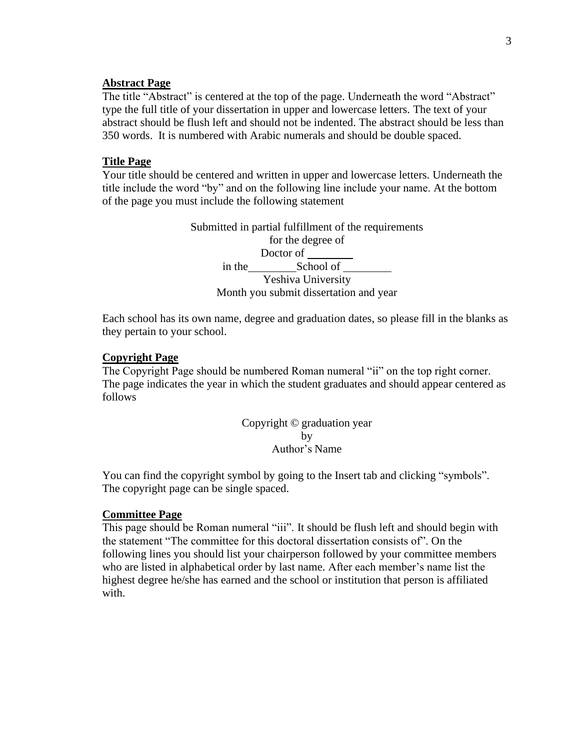#### **Abstract Page**

The title "Abstract" is centered at the top of the page. Underneath the word "Abstract" type the full title of your dissertation in upper and lowercase letters. The text of your abstract should be flush left and should not be indented. The abstract should be less than 350 words. It is numbered with Arabic numerals and should be double spaced.

#### **Title Page**

Your title should be centered and written in upper and lowercase letters. Underneath the title include the word "by" and on the following line include your name. At the bottom of the page you must include the following statement

> Submitted in partial fulfillment of the requirements for the degree of Doctor of in the School of Yeshiva University Month you submit dissertation and year

Each school has its own name, degree and graduation dates, so please fill in the blanks as they pertain to your school.

#### **Copyright Page**

The Copyright Page should be numbered Roman numeral "ii" on the top right corner. The page indicates the year in which the student graduates and should appear centered as follows

> Copyright © graduation year by Author's Name

You can find the copyright symbol by going to the Insert tab and clicking "symbols". The copyright page can be single spaced.

#### **Committee Page**

This page should be Roman numeral "iii". It should be flush left and should begin with the statement "The committee for this doctoral dissertation consists of". On the following lines you should list your chairperson followed by your committee members who are listed in alphabetical order by last name. After each member's name list the highest degree he/she has earned and the school or institution that person is affiliated with.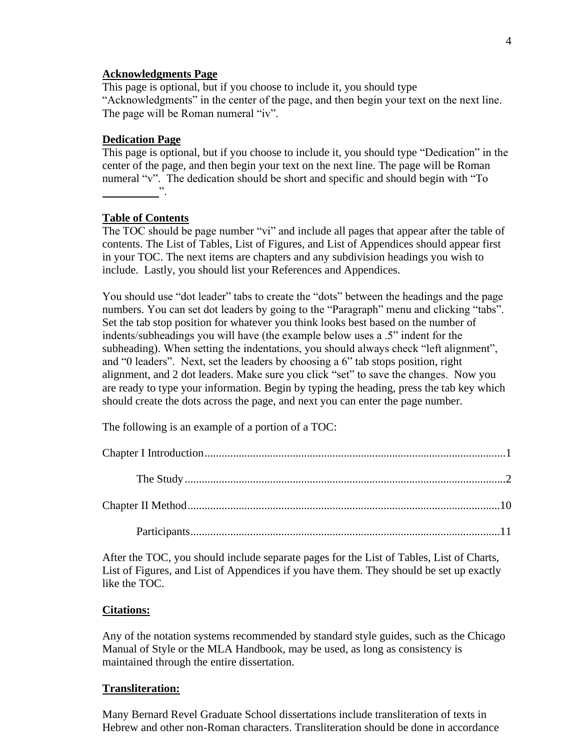### **Acknowledgments Page**

This page is optional, but if you choose to include it, you should type "Acknowledgments" in the center of the page, and then begin your text on the next line. The page will be Roman numeral "iv".

# **Dedication Page**

This page is optional, but if you choose to include it, you should type "Dedication" in the center of the page, and then begin your text on the next line. The page will be Roman numeral "v". The dedication should be short and specific and should begin with "To  $\overline{\phantom{a}}$  .

# **Table of Contents**

The TOC should be page number "vi" and include all pages that appear after the table of contents. The List of Tables, List of Figures, and List of Appendices should appear first in your TOC. The next items are chapters and any subdivision headings you wish to include. Lastly, you should list your References and Appendices.

You should use "dot leader" tabs to create the "dots" between the headings and the page numbers. You can set dot leaders by going to the "Paragraph" menu and clicking "tabs". Set the tab stop position for whatever you think looks best based on the number of indents/subheadings you will have (the example below uses a .5" indent for the subheading). When setting the indentations, you should always check "left alignment", and "0 leaders". Next, set the leaders by choosing a  $6$ " tab stops position, right alignment, and 2 dot leaders. Make sure you click "set" to save the changes. Now you are ready to type your information. Begin by typing the heading, press the tab key which should create the dots across the page, and next you can enter the page number.

The following is an example of a portion of a TOC:

After the TOC, you should include separate pages for the List of Tables, List of Charts, List of Figures, and List of Appendices if you have them. They should be set up exactly like the TOC.

## **Citations:**

Any of the notation systems recommended by standard style guides, such as the Chicago Manual of Style or the MLA Handbook, may be used, as long as consistency is maintained through the entire dissertation.

## **Transliteration:**

Many Bernard Revel Graduate School dissertations include transliteration of texts in Hebrew and other non-Roman characters. Transliteration should be done in accordance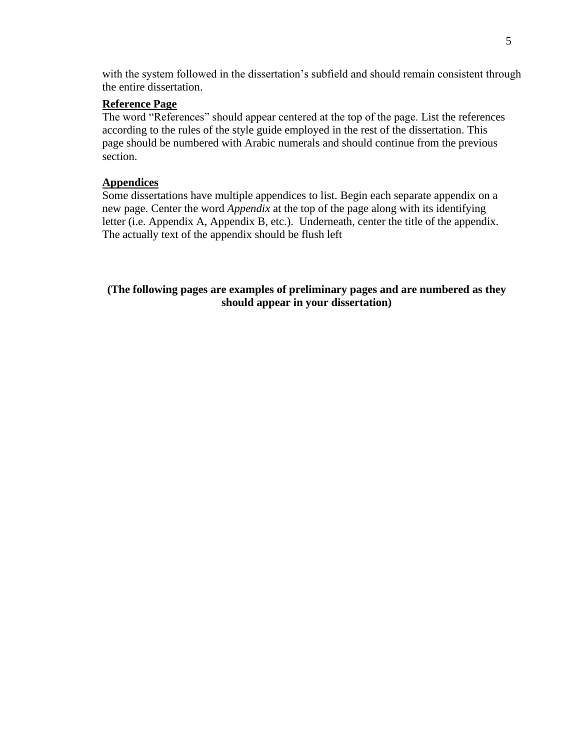with the system followed in the dissertation's subfield and should remain consistent through the entire dissertation.

# **Reference Page**

The word "References" should appear centered at the top of the page. List the references according to the rules of the style guide employed in the rest of the dissertation. This page should be numbered with Arabic numerals and should continue from the previous section.

# <span id="page-4-0"></span>**Appendices**

Some dissertations have multiple appendices to list. Begin each separate appendix on a new page. Center the word *Appendix* at the top of the page along with its identifying letter (i.e. Appendix A, Appendix B, etc.). Underneath, center the title of the appendix. The actually text of the appendix should be flush left

**(The following pages are examples of preliminary pages and are numbered as they should appear in your dissertation)**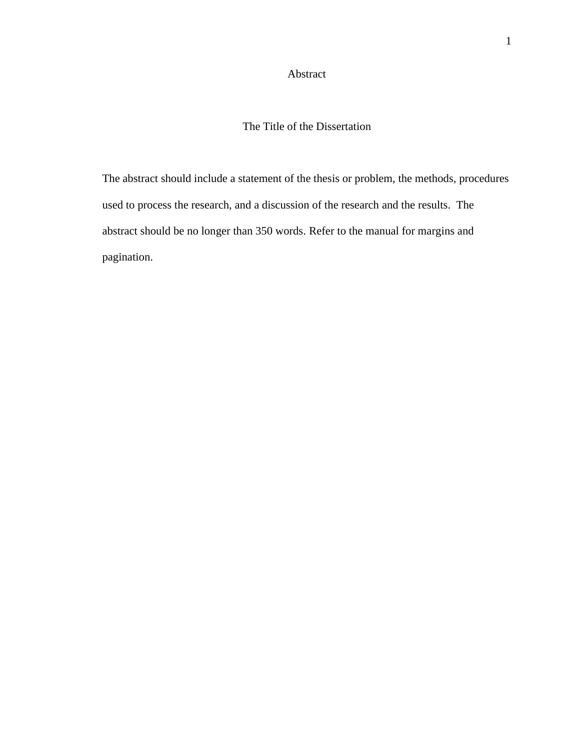## Abstract

# The Title of the Dissertation

The abstract should include a statement of the thesis or problem, the methods, procedures used to process the research, and a discussion of the research and the results. The abstract should be no longer than 350 words. Refer to the manual for margins and pagination.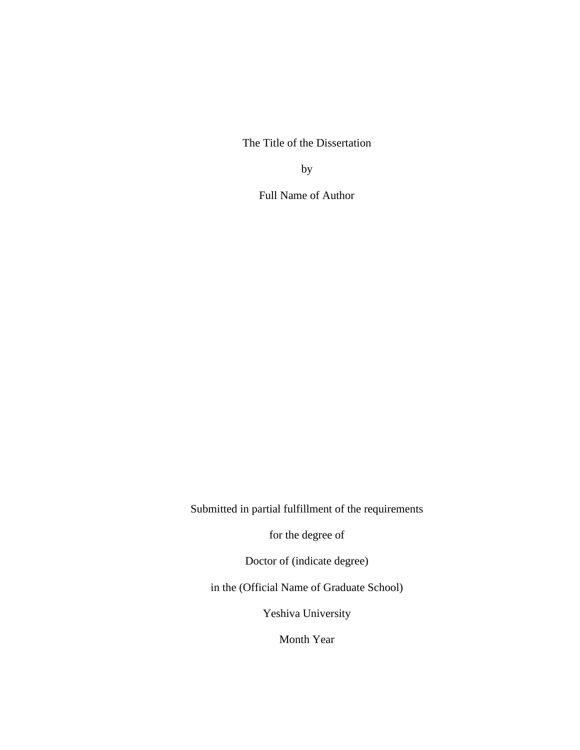The Title of the Dissertation

by

Full Name of Author

Submitted in partial fulfillment of the requirements

for the degree of

Doctor of (indicate degree)

in the (Official Name of Graduate School)

Yeshiva University

Month Year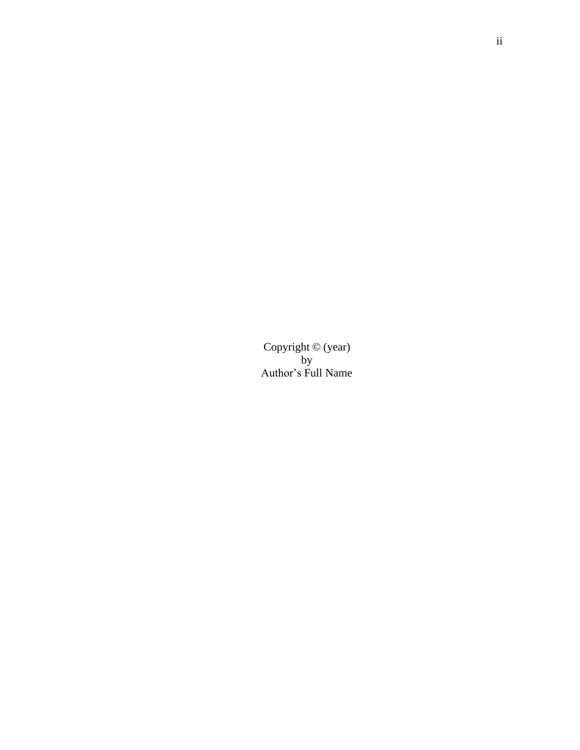Copyright © (year) by Author's Full Name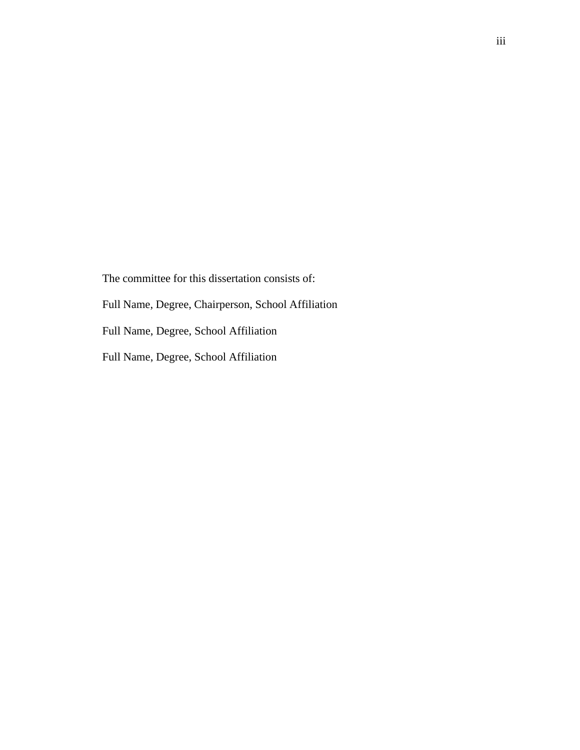The committee for this dissertation consists of: Full Name, Degree, Chairperson, School Affiliation Full Name, Degree, School Affiliation Full Name, Degree, School Affiliation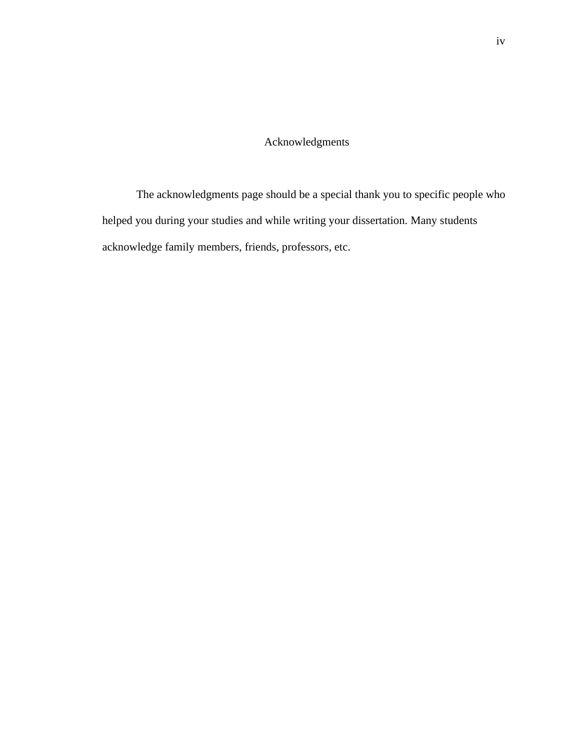# Acknowledgments

The acknowledgments page should be a special thank you to specific people who helped you during your studies and while writing your dissertation. Many students acknowledge family members, friends, professors, etc.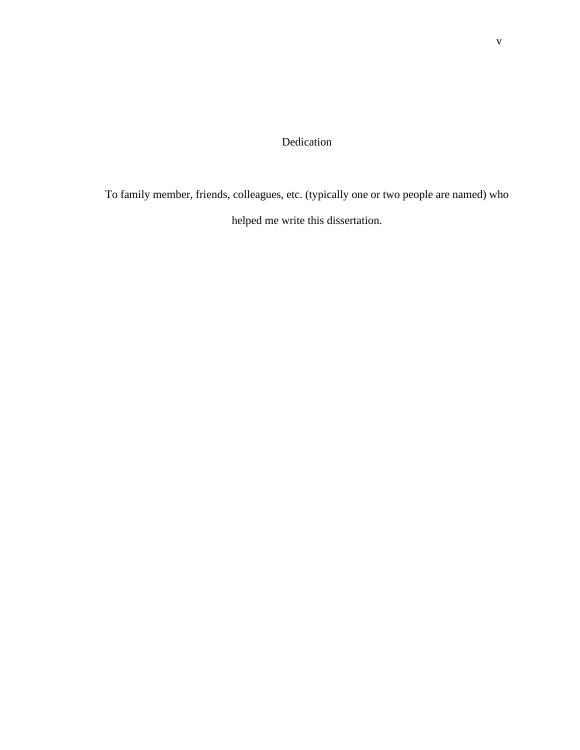# Dedication

To family member, friends, colleagues, etc. (typically one or two people are named) who helped me write this dissertation.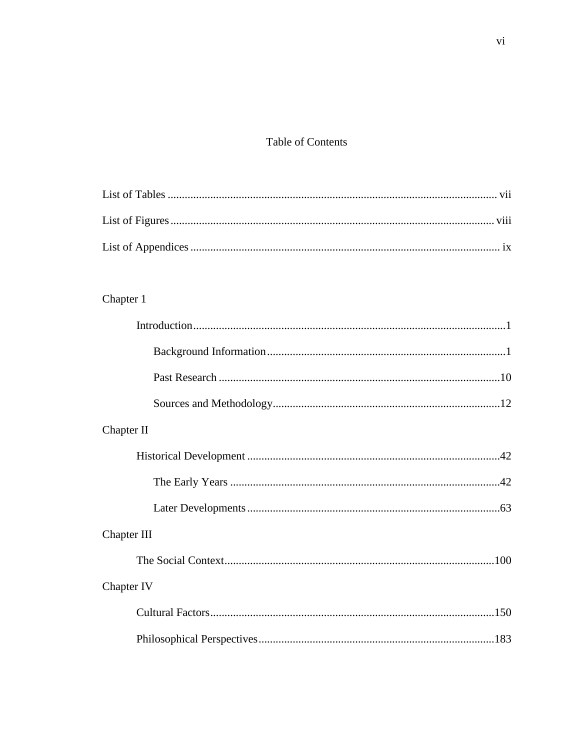# **Table of Contents**

# Chapter 1

| Chapter II  |
|-------------|
|             |
|             |
|             |
| Chapter III |
|             |
| Chapter IV  |
|             |
|             |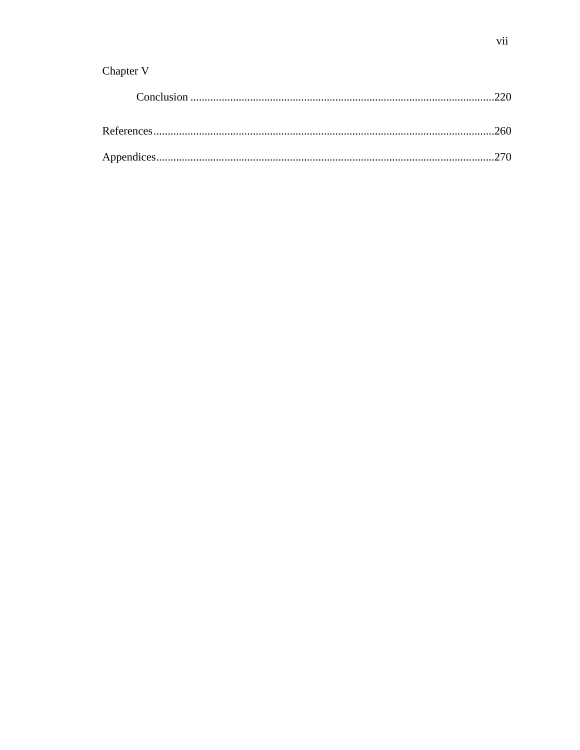# Chapter V